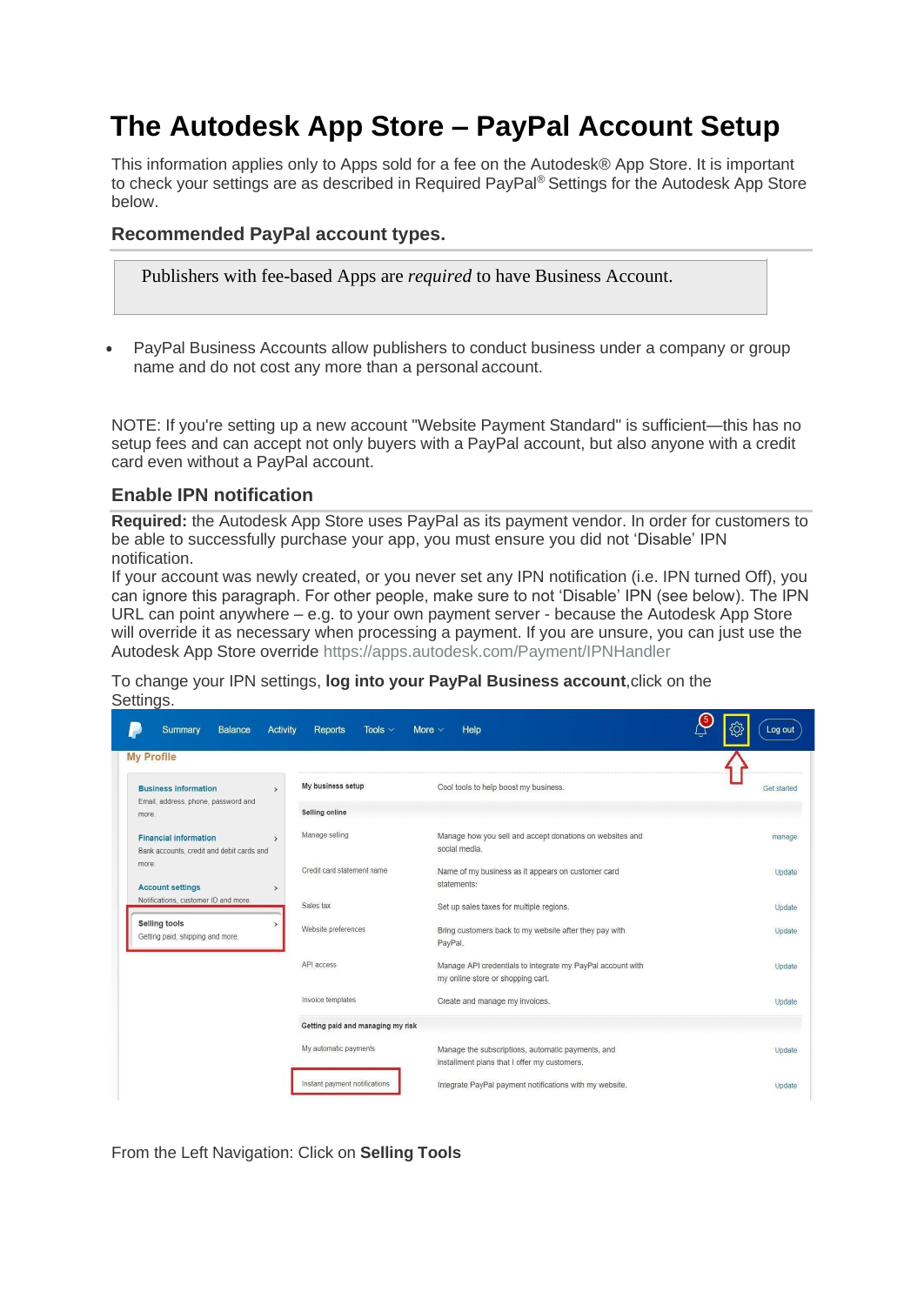# **The Autodesk App Store – PayPal Account Setup**

This information applies only to Apps sold for a fee on the Autodesk® App Store. It is important to check your settings are as described in Required PayPal® Settings for the Autodesk App Store below.

# **Recommended PayPal account types.**

Publishers with fee-based Apps are *required* to have Business Account.

• PayPal Business Accounts allow publishers to conduct business under a company or group name and do not cost any more than a personal account.

NOTE: If you're setting up a new account "Website Payment Standard" is sufficient—this has no setup fees and can accept not only buyers with a PayPal account, but also anyone with a credit card even without a PayPal account.

# **Enable IPN notification**

**Required:** the Autodesk App Store uses PayPal as its payment vendor. In order for customers to be able to successfully purchase your app, you must ensure you did not 'Disable' IPN notification.

If your account was newly created, or you never set any IPN notification (i.e. IPN turned Off), you can ignore this paragraph. For other people, make sure to not 'Disable' IPN (see below). The IPN URL can point anywhere – e.g. to your own payment server - because the Autodesk App Store will override it as necessary when processing a payment. If you are unsure, you can just use the Autodesk App Store override<https://apps.autodesk.com/Payment/IPNHandler>

To change your IPN settings, **log into your PayPal Business account**,click on the Settings.

| <b>My Profile</b>                                                                          |                                   |                                                                                                   |             |
|--------------------------------------------------------------------------------------------|-----------------------------------|---------------------------------------------------------------------------------------------------|-------------|
| <b>Business information</b><br>$\rightarrow$<br>Email, address, phone, password and        | My business setup                 | Cool tools to help boost my business.                                                             | Get started |
| more.                                                                                      | Selling online                    |                                                                                                   |             |
| <b>Financial information</b><br>$\rightarrow$<br>Bank accounts, credit and debit cards and | Manage selling                    | Manage how you sell and accept donations on websites and<br>social media.                         | manage      |
| more.<br><b>Account settings</b><br>$\rightarrow$                                          | Credit card statement name        | Name of my business as it appears on customer card<br>statements:                                 | Update      |
| Notifications, customer ID and more.                                                       | Sales tax                         | Set up sales taxes for multiple regions.                                                          | Update      |
| <b>Selling tools</b><br>Getting paid, shipping and more.                                   | Website preferences               | Bring customers back to my website after they pay with<br>PayPal.                                 | Update      |
|                                                                                            | API access                        | Manage API credentials to integrate my PayPal account with<br>my online store or shopping cart.   | Update      |
|                                                                                            | Invoice templates                 | Create and manage my invoices.                                                                    | Update      |
|                                                                                            | Getting paid and managing my risk |                                                                                                   |             |
|                                                                                            | My automatic payments             | Manage the subscriptions, automatic payments, and<br>installment plans that I offer my customers. | Update      |
|                                                                                            | Instant payment notifications     | Integrate PayPal payment notifications with my website.                                           | Update      |

From the Left Navigation: Click on **Selling Tools**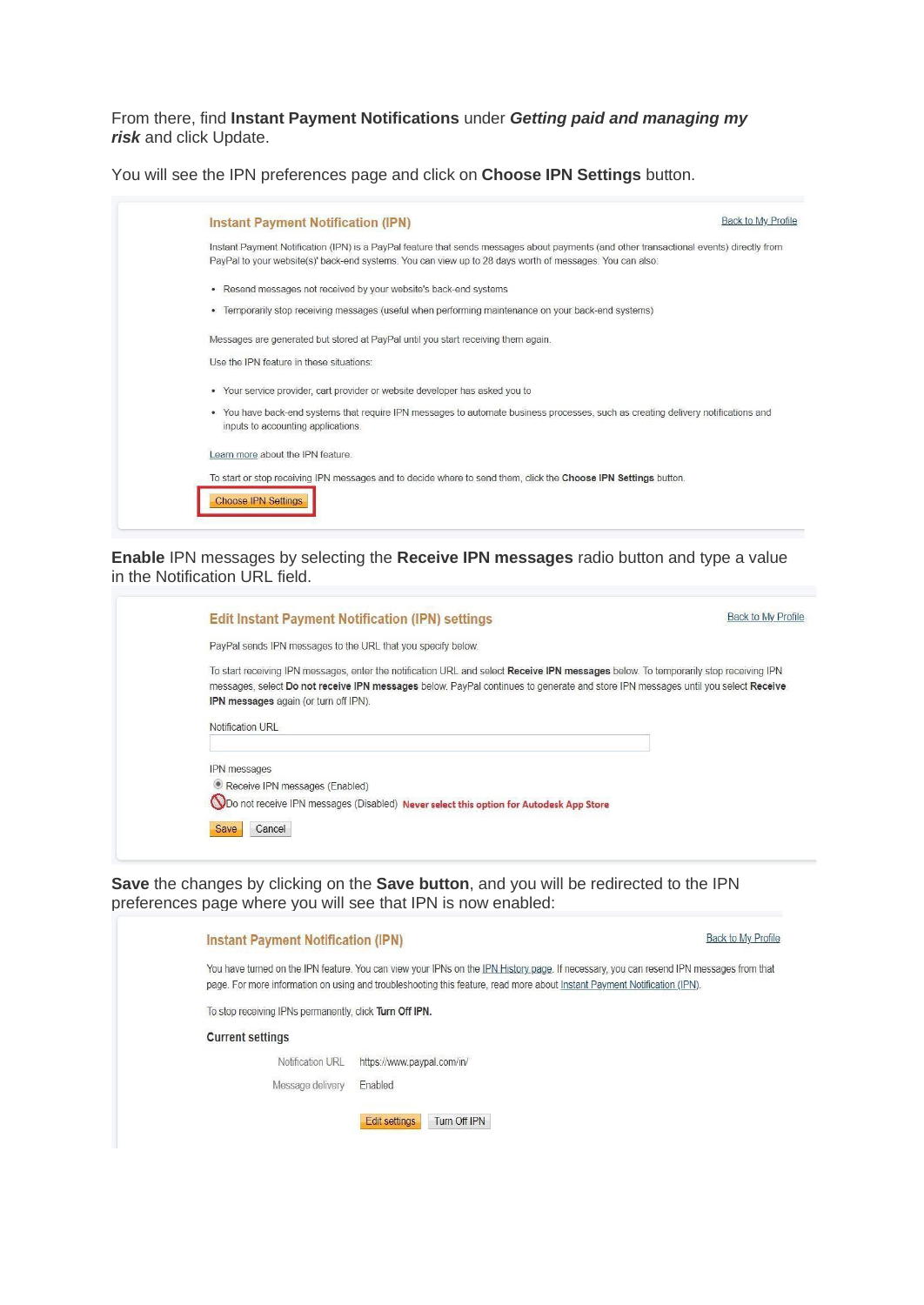### From there, find **Instant Payment Notifications** under *Getting paid and managing my risk* and click Update.

You will see the IPN preferences page and click on **Choose IPN Settings** button.

| <b>Instant Payment Notification (IPN)</b>                                                                                                                                                                                                            | <b>Back to My Profile</b> |
|------------------------------------------------------------------------------------------------------------------------------------------------------------------------------------------------------------------------------------------------------|---------------------------|
| Instant Payment Notification (IPN) is a PayPal feature that sends messages about payments (and other transactional events) directly from<br>PayPal to your website(s)' back-end systems. You can view up to 28 days worth of messages. You can also: |                           |
| • Resend messages not received by your website's back-end systems                                                                                                                                                                                    |                           |
| · Temporarily stop receiving messages (useful when performing maintenance on your back-end systems)                                                                                                                                                  |                           |
| Messages are generated but stored at PayPal until you start receiving them again.                                                                                                                                                                    |                           |
| Use the IPN feature in these situations:                                                                                                                                                                                                             |                           |
| • Your service provider, cart provider or website developer has asked you to                                                                                                                                                                         |                           |
| . You have back-end systems that require IPN messages to automate business processes, such as creating delivery notifications and<br>inputs to accounting applications.                                                                              |                           |
| Learn more about the IPN feature.                                                                                                                                                                                                                    |                           |
| To start or stop receiving IPN messages and to decide where to send them, click the Choose IPN Settings button.                                                                                                                                      |                           |
| <b>Choose IPN Settings</b>                                                                                                                                                                                                                           |                           |

### **Enable** IPN messages by selecting the **Receive IPN messages** radio button and type a value in the Notification URL field.

| Back to My Profile<br><b>Edit Instant Payment Notification (IPN) settings</b>                                                                                                                                                                                                                                     |  |
|-------------------------------------------------------------------------------------------------------------------------------------------------------------------------------------------------------------------------------------------------------------------------------------------------------------------|--|
| PayPal sends IPN messages to the URL that you specify below.                                                                                                                                                                                                                                                      |  |
| To start receiving IPN messages, enter the notification URL and select Receive IPN messages below. To temporarily stop receiving IPN<br>messages, select Do not receive IPN messages below. PayPal continues to generate and store IPN messages until you select Receive<br>IPN messages again (or turn off IPN). |  |
| Notification URL                                                                                                                                                                                                                                                                                                  |  |
| IPN messages<br>Receive IPN messages (Enabled)<br>ODo not receive IPN messages (Disabled) Never select this option for Autodesk App Store<br>Cancel<br><b>Save</b>                                                                                                                                                |  |

**Save** the changes by clicking on the **Save button**, and you will be redirected to the IPN preferences page where you will see that IPN is now enabled:

| <b>Instant Payment Notification (IPN)</b>               |                                                                                                                                                                                                                                                                      | Back to My Profile |
|---------------------------------------------------------|----------------------------------------------------------------------------------------------------------------------------------------------------------------------------------------------------------------------------------------------------------------------|--------------------|
|                                                         | You have turned on the IPN feature. You can view your IPNs on the IPN History page. If necessary, you can resend IPN messages from that<br>page. For more information on using and troubleshooting this feature, read more about Instant Payment Notification (IPN). |                    |
| To stop receiving IPNs permanently, click Turn Off IPN. |                                                                                                                                                                                                                                                                      |                    |
| <b>Current settings</b>                                 |                                                                                                                                                                                                                                                                      |                    |
| Notification URL                                        | https://www.paypal.com/in/                                                                                                                                                                                                                                           |                    |
| Message delivery                                        | Enabled                                                                                                                                                                                                                                                              |                    |
|                                                         | Turn Off IPN<br><b>Edit settings</b>                                                                                                                                                                                                                                 |                    |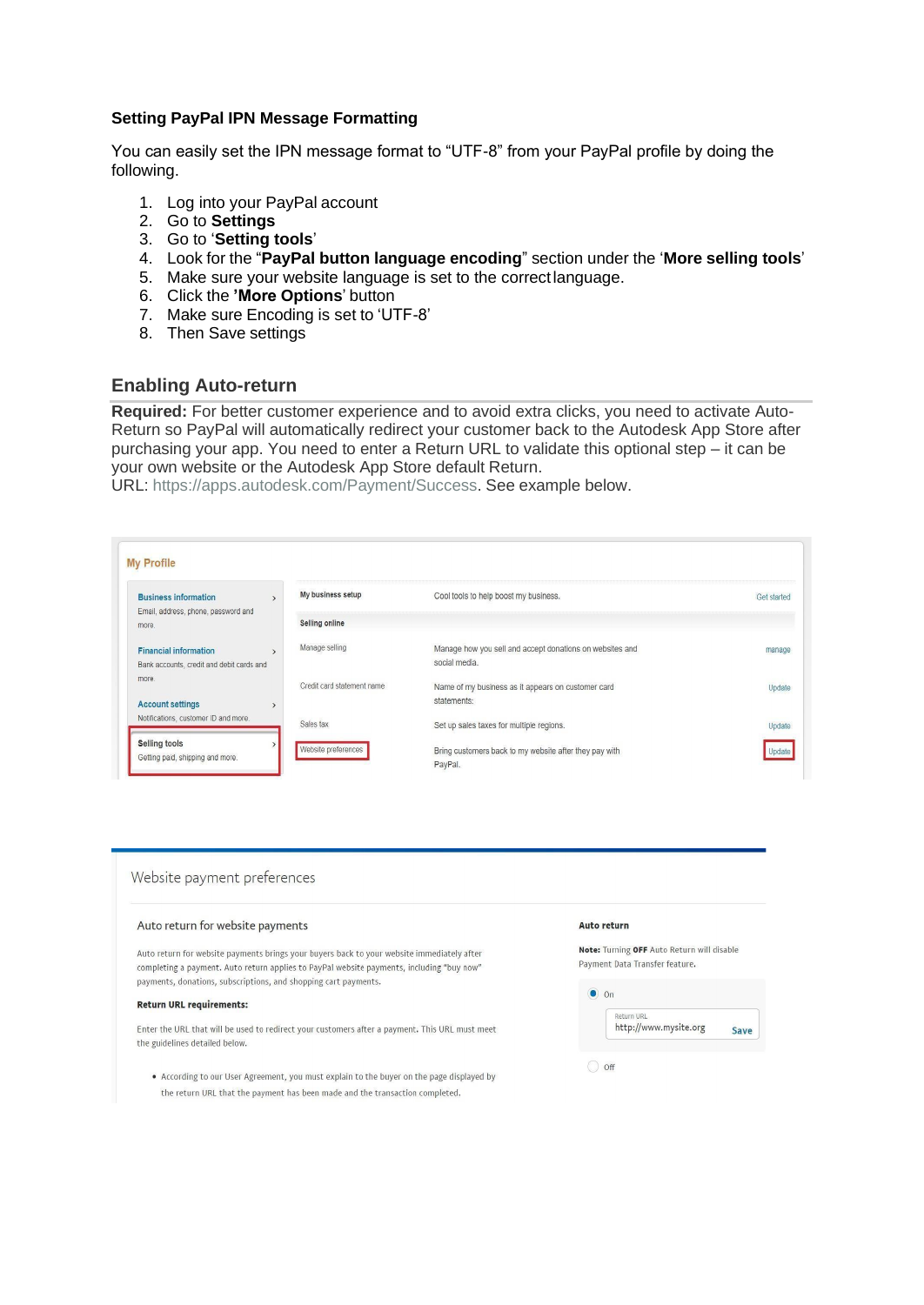### **Setting PayPal IPN Message Formatting**

You can easily set the IPN message format to "UTF-8" from your PayPal profile by doing the following.

- 1. Log into your PayPal account
- 2. Go to **Settings**
- 3. Go to '**Setting tools**'
- 4. Look for the "**PayPal button language encoding**" section under the '**More selling tools**'
- 5. Make sure your website language is set to the correctlanguage.
- 6. Click the **'More Options**' button
- 7. Make sure Encoding is set to 'UTF-8'
- 8. Then Save settings

# **Enabling Auto-return**

**Required:** For better customer experience and to avoid extra clicks, you need to activate Auto-Return so PayPal will automatically redirect your customer back to the Autodesk App Store after purchasing your app. You need to enter a Return URL to validate this optional step – it can be your own website or the Autodesk App Store default Return.

URL: [https://apps.autodesk.com/Payment/Success.](https://apps.autodesk.com/Payment/Success) See example below.

| <b>Business information</b>                                               | My business setup          | Cool tools to help boost my business.                                     | Get started |
|---------------------------------------------------------------------------|----------------------------|---------------------------------------------------------------------------|-------------|
| Email, address, phone, password and<br>more.                              | Selling online             |                                                                           |             |
| <b>Financial information</b><br>Bank accounts, credit and debit cards and | Manage selling             | Manage how you sell and accept donations on websites and<br>social media. | manage      |
| more<br><b>Account settings</b>                                           | Credit card statement name | Name of my business as it appears on customer card<br>statements:         | Update      |
| Notifications, customer ID and more.                                      | Sales tax                  | Set up sales taxes for multiple regions.                                  | Update      |

#### Website payment preferences

#### Auto return for website payments

Auto return for website payments brings your buyers back to your website immediately after completing a payment. Auto return applies to PayPal website payments, including "buy now" payments, donations, subscriptions, and shopping cart payments.

#### Return URL requirements:

Enter the URL that will be used to redirect your customers after a payment. This URL must meet the guidelines detailed below.

• According to our User Agreement, you must explain to the buyer on the page displayed by the return URL that the payment has been made and the transaction completed.

#### Auto return

Note: Turning OFF Auto Return will disable Payment Data Transfer feature.

| Return URL            |      |
|-----------------------|------|
| http://www.mysite.org | Save |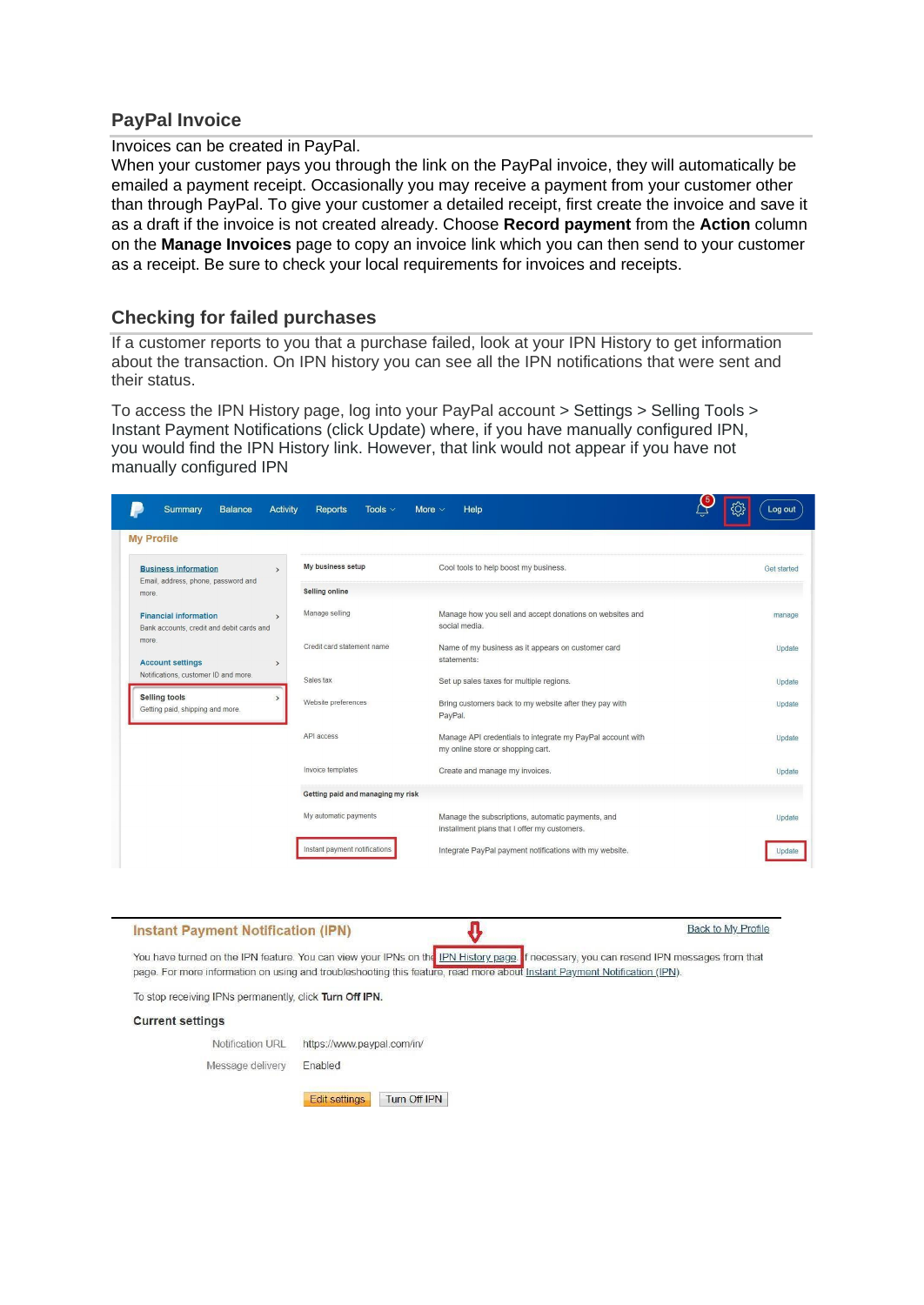# **PayPal Invoice**

Invoices can be created in PayPal.

When your customer pays you through the link on the PayPal invoice, they will automatically be emailed a payment receipt. Occasionally you may receive a payment from your customer other than through PayPal. To give your customer a detailed receipt, first create the invoice and save it as a draft if the invoice is not created already. Choose **Record payment** from the **Action** column on the **Manage Invoices** page to copy an invoice link which you can then send to your customer as a receipt. Be sure to check your local requirements for invoices and receipts.

# **Checking for failed purchases**

If a customer reports to you that a purchase failed, look at your IPN History to get information about the transaction. On IPN history you can see all the IPN notifications that were sent and their status.

To access the IPN History page, log into your PayPal account > Settings > Selling Tools > Instant Payment Notifications (click Update) where, if you have manually configured IPN, you would find the IPN History link. However, that link would not appear if you have not manually configured IPN

| <b>Business information</b><br>$\rightarrow$<br>Email, address, phone, password and        | My business setup                 | Cool tools to help boost my business.                                                             | <b>Get started</b> |
|--------------------------------------------------------------------------------------------|-----------------------------------|---------------------------------------------------------------------------------------------------|--------------------|
| more.                                                                                      | Selling online                    |                                                                                                   |                    |
| <b>Financial information</b><br>$\rightarrow$<br>Bank accounts, credit and debit cards and | Manage selling                    | Manage how you sell and accept donations on websites and<br>social media.                         | manage             |
| more.<br><b>Account settings</b><br>$\rightarrow$                                          | Credit card statement name        | Name of my business as it appears on customer card<br>statements:                                 | Update             |
| Notifications, customer ID and more.                                                       | Sales tax                         | Set up sales taxes for multiple regions.                                                          | Update             |
| <b>Selling tools</b><br>Getting paid, shipping and more.                                   | Website preferences               | Bring customers back to my website after they pay with<br>PayPal.                                 | Update             |
|                                                                                            | API access                        | Manage API credentials to integrate my PayPal account with<br>my online store or shopping cart.   | Update             |
|                                                                                            | Invoice templates                 | Create and manage my invoices.                                                                    | Update             |
|                                                                                            | Getting paid and managing my risk |                                                                                                   |                    |
|                                                                                            | My automatic payments             | Manage the subscriptions, automatic payments, and<br>installment plans that I offer my customers. | Update             |
|                                                                                            |                                   |                                                                                                   |                    |

# **Instant Payment Notification (IPN)**



**Back to My Profile** 

You have turned on the IPN feature. You can view your IPNs on the IPN History page. f necessary, you can resend IPN messages from that page. For more information on using and troubleshooting this feature, read more about Instant Payment Notification (IPN).

To stop receiving IPNs permanently, click Turn Off IPN.

### **Current settings**

Notification URL https://www.paypal.com/in/

Message delivery Enabled

Edit settings Turn Off IPN